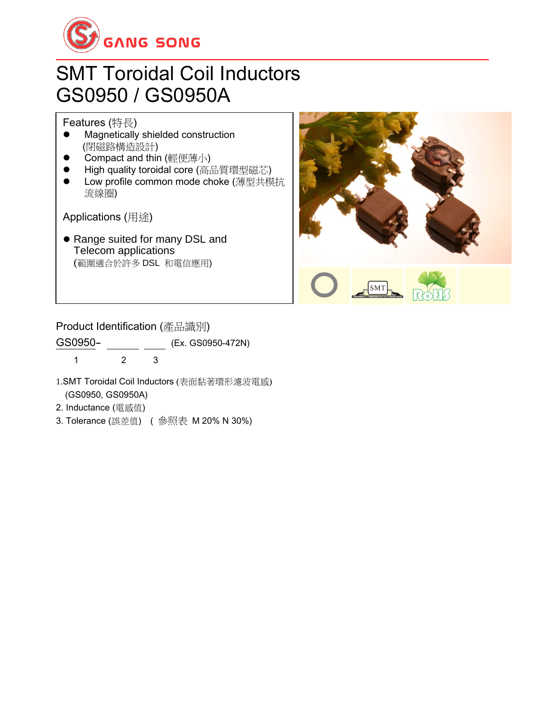

## SMT Toroidal Coil Inductors GS0950 / GS0950A

Features (特長)

- ⚫ Magnetically shielded construction (閉磁路構造設計)
- ⚫ Compact and thin (輕便薄小)
- High quality toroidal core (高品質環型磁芯)
- ⚫ Low profile common mode choke (薄型共模抗 流線圈)

Applications (用途)

⚫ Range suited for many DSL and Telecom applications (範圍適合於許多 DSL 和電信應用)



#### Product Identification (產品識別)

GS0950- (Ex. GS0950-472N)

1 2 3

- 1.SMT Toroidal Coil Inductors (表面黏著環形濾波電感) (GS0950, GS0950A)
- 2. Inductance (電感值)
- 3. Tolerance (誤差值) ( 參照表 M 20% N 30%)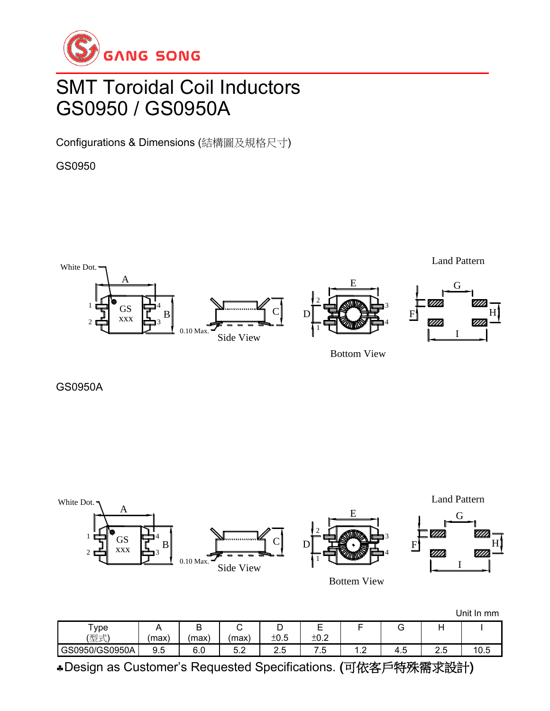

### SMT Toroidal Coil Inductors GS0950 / GS0950A

Configurations & Dimensions (結構圖及規格尺寸)

GS0950



Bottom View

GS0950A



|                     |       |      |           |          |             |                          |          |          | Unit In mm |
|---------------------|-------|------|-----------|----------|-------------|--------------------------|----------|----------|------------|
| $\tau_{\text{ype}}$ |       | ັ    |           | ◡        | _<br>⊢<br>∽ |                          | ت        |          |            |
| (型式)                | (max) | (max | max       | ±0.5     | ±0.2        |                          |          |          |            |
| GS0950/GS0950A      | 9.5   | 6.0  | よっ<br>J.Z | ∽<br>ں ے |             | $\overline{\phantom{a}}$ | -<br>4.5 | ⌒<br>ے ۔ | 10.5       |

Design as Customer's Requested Specifications. (可依客戶特殊需求設計)